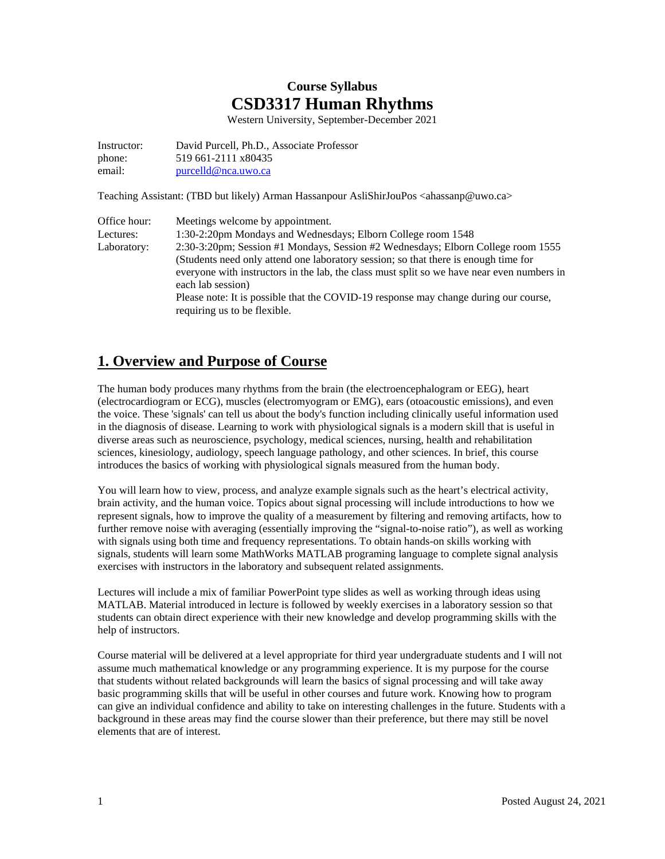# **Course Syllabus CSD3317 Human Rhythms**

Western University, September-December 2021

Instructor: David Purcell, Ph.D., Associate Professor phone: 519 661-2111 x80435 email: [purcelld@nca.uwo.ca](mailto:purcelld@nca.uwo.ca)

Teaching Assistant: (TBD but likely) Arman Hassanpour AsliShirJouPos <ahassanp@uwo.ca>

| Office hour: | Meetings welcome by appointment.                                                                                     |
|--------------|----------------------------------------------------------------------------------------------------------------------|
| Lectures:    | 1:30-2:20pm Mondays and Wednesdays; Elborn College room 1548                                                         |
| Laboratory:  | 2:30-3:20pm; Session #1 Mondays, Session #2 Wednesdays; Elborn College room 1555                                     |
|              | (Students need only attend one laboratory session; so that there is enough time for                                  |
|              | everyone with instructors in the lab, the class must split so we have near even numbers in                           |
|              | each lab session)                                                                                                    |
|              | Please note: It is possible that the COVID-19 response may change during our course,<br>requiring us to be flexible. |
|              |                                                                                                                      |

# **1. Overview and Purpose of Course**

The human body produces many rhythms from the brain (the electroencephalogram or EEG), heart (electrocardiogram or ECG), muscles (electromyogram or EMG), ears (otoacoustic emissions), and even the voice. These 'signals' can tell us about the body's function including clinically useful information used in the diagnosis of disease. Learning to work with physiological signals is a modern skill that is useful in diverse areas such as neuroscience, psychology, medical sciences, nursing, health and rehabilitation sciences, kinesiology, audiology, speech language pathology, and other sciences. In brief, this course introduces the basics of working with physiological signals measured from the human body.

You will learn how to view, process, and analyze example signals such as the heart's electrical activity, brain activity, and the human voice. Topics about signal processing will include introductions to how we represent signals, how to improve the quality of a measurement by filtering and removing artifacts, how to further remove noise with averaging (essentially improving the "signal-to-noise ratio"), as well as working with signals using both time and frequency representations. To obtain hands-on skills working with signals, students will learn some MathWorks MATLAB programing language to complete signal analysis exercises with instructors in the laboratory and subsequent related assignments.

Lectures will include a mix of familiar PowerPoint type slides as well as working through ideas using MATLAB. Material introduced in lecture is followed by weekly exercises in a laboratory session so that students can obtain direct experience with their new knowledge and develop programming skills with the help of instructors.

Course material will be delivered at a level appropriate for third year undergraduate students and I will not assume much mathematical knowledge or any programming experience. It is my purpose for the course that students without related backgrounds will learn the basics of signal processing and will take away basic programming skills that will be useful in other courses and future work. Knowing how to program can give an individual confidence and ability to take on interesting challenges in the future. Students with a background in these areas may find the course slower than their preference, but there may still be novel elements that are of interest.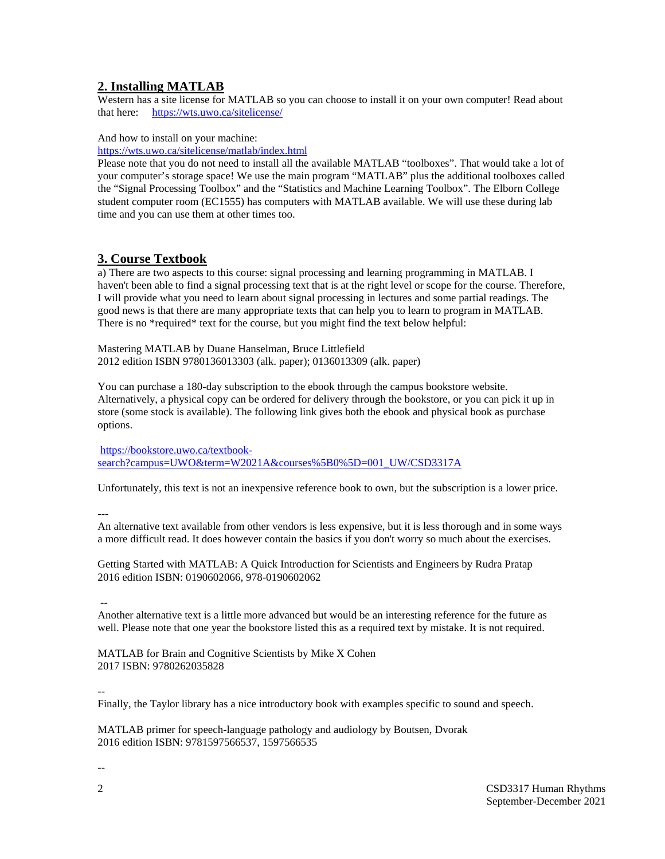## **2. Installing MATLAB**

Western has a site license for MATLAB so you can choose to install it on your own computer! Read about that here: <https://wts.uwo.ca/sitelicense/>

And how to install on your machine:

<https://wts.uwo.ca/sitelicense/matlab/index.html>

Please note that you do not need to install all the available MATLAB "toolboxes". That would take a lot of your computer's storage space! We use the main program "MATLAB" plus the additional toolboxes called the "Signal Processing Toolbox" and the "Statistics and Machine Learning Toolbox". The Elborn College student computer room (EC1555) has computers with MATLAB available. We will use these during lab time and you can use them at other times too.

## **3. Course Textbook**

a) There are two aspects to this course: signal processing and learning programming in MATLAB. I haven't been able to find a signal processing text that is at the right level or scope for the course. Therefore, I will provide what you need to learn about signal processing in lectures and some partial readings. The good news is that there are many appropriate texts that can help you to learn to program in MATLAB. There is no \*required\* text for the course, but you might find the text below helpful:

Mastering MATLAB by Duane Hanselman, Bruce Littlefield 2012 edition ISBN 9780136013303 (alk. paper); 0136013309 (alk. paper)

You can purchase a 180-day subscription to the ebook through the campus bookstore website. Alternatively, a physical copy can be ordered for delivery through the bookstore, or you can pick it up in store (some stock is available). The following link gives both the ebook and physical book as purchase options.

[https://bookstore.uwo.ca/textbook](https://bookstore.uwo.ca/textbook-search?campus=UWO&term=W2021A&courses%5B0%5D=001_UW/CSD3317A%20)[search?campus=UWO&term=W2021A&courses%5B0%5D=001\\_UW/CSD3317A](https://bookstore.uwo.ca/textbook-search?campus=UWO&term=W2021A&courses%5B0%5D=001_UW/CSD3317A%20)

Unfortunately, this text is not an inexpensive reference book to own, but the subscription is a lower price.

---

An alternative text available from other vendors is less expensive, but it is less thorough and in some ways a more difficult read. It does however contain the basics if you don't worry so much about the exercises.

Getting Started with MATLAB: A Quick Introduction for Scientists and Engineers by Rudra Pratap 2016 edition ISBN: 0190602066, 978-0190602062

--

Another alternative text is a little more advanced but would be an interesting reference for the future as well. Please note that one year the bookstore listed this as a required text by mistake. It is not required.

MATLAB for Brain and Cognitive Scientists by Mike X Cohen 2017 ISBN: 9780262035828

--

Finally, the Taylor library has a nice introductory book with examples specific to sound and speech.

MATLAB primer for speech-language pathology and audiology by Boutsen, Dvorak 2016 edition ISBN: 9781597566537, 1597566535

--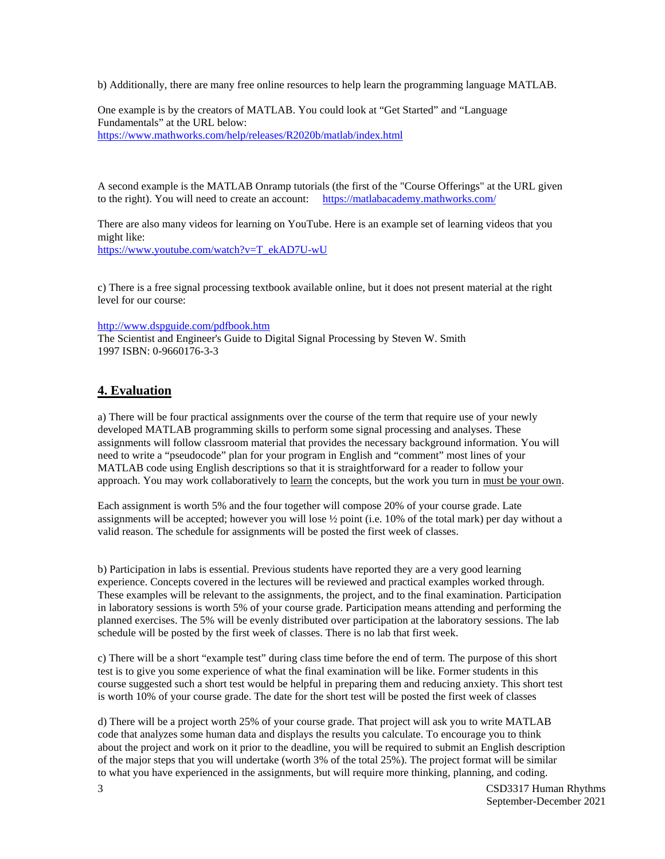b) Additionally, there are many free online resources to help learn the programming language MATLAB.

One example is by the creators of MATLAB. You could look at "Get Started" and "Language Fundamentals" at the URL below: <https://www.mathworks.com/help/releases/R2020b/matlab/index.html>

A second example is the MATLAB Onramp tutorials (the first of the "Course Offerings" at the URL given to the right). You will need to create an account: <https://matlabacademy.mathworks.com/>

There are also many videos for learning on YouTube. Here is an example set of learning videos that you might like: [https://www.youtube.com/watch?v=T\\_ekAD7U-wU](https://www.youtube.com/watch?v=T_ekAD7U-wU)

c) There is a free signal processing textbook available online, but it does not present material at the right level for our course:

<http://www.dspguide.com/pdfbook.htm>

The Scientist and Engineer's Guide to Digital Signal Processing by Steven W. Smith 1997 ISBN: 0-9660176-3-3

## **4. Evaluation**

a) There will be four practical assignments over the course of the term that require use of your newly developed MATLAB programming skills to perform some signal processing and analyses. These assignments will follow classroom material that provides the necessary background information. You will need to write a "pseudocode" plan for your program in English and "comment" most lines of your MATLAB code using English descriptions so that it is straightforward for a reader to follow your approach. You may work collaboratively to learn the concepts, but the work you turn in must be your own.

Each assignment is worth 5% and the four together will compose 20% of your course grade. Late assignments will be accepted; however you will lose ½ point (i.e. 10% of the total mark) per day without a valid reason. The schedule for assignments will be posted the first week of classes.

b) Participation in labs is essential. Previous students have reported they are a very good learning experience. Concepts covered in the lectures will be reviewed and practical examples worked through. These examples will be relevant to the assignments, the project, and to the final examination. Participation in laboratory sessions is worth 5% of your course grade. Participation means attending and performing the planned exercises. The 5% will be evenly distributed over participation at the laboratory sessions. The lab schedule will be posted by the first week of classes. There is no lab that first week.

c) There will be a short "example test" during class time before the end of term. The purpose of this short test is to give you some experience of what the final examination will be like. Former students in this course suggested such a short test would be helpful in preparing them and reducing anxiety. This short test is worth 10% of your course grade. The date for the short test will be posted the first week of classes

d) There will be a project worth 25% of your course grade. That project will ask you to write MATLAB code that analyzes some human data and displays the results you calculate. To encourage you to think about the project and work on it prior to the deadline, you will be required to submit an English description of the major steps that you will undertake (worth 3% of the total 25%). The project format will be similar to what you have experienced in the assignments, but will require more thinking, planning, and coding.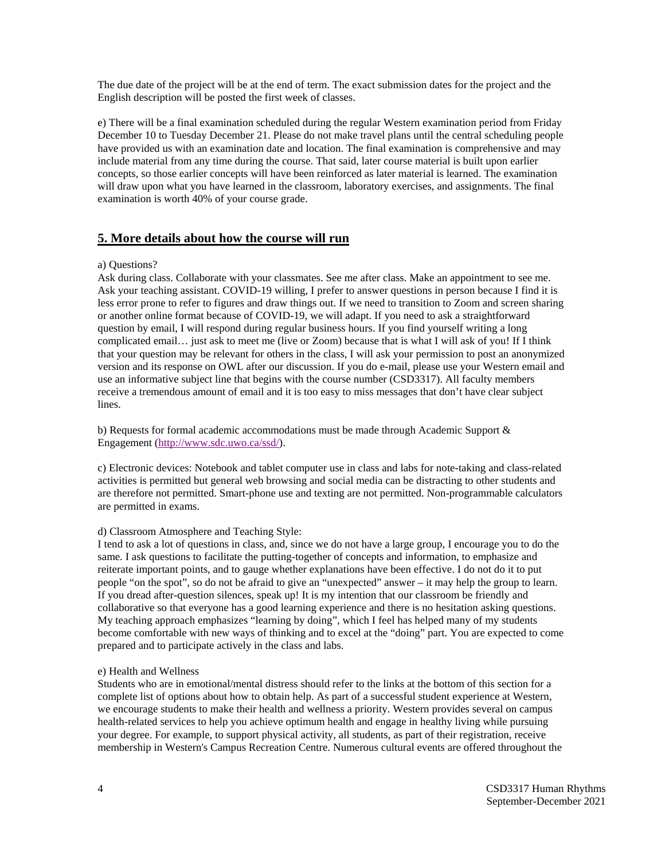The due date of the project will be at the end of term. The exact submission dates for the project and the English description will be posted the first week of classes.

e) There will be a final examination scheduled during the regular Western examination period from Friday December 10 to Tuesday December 21. Please do not make travel plans until the central scheduling people have provided us with an examination date and location. The final examination is comprehensive and may include material from any time during the course. That said, later course material is built upon earlier concepts, so those earlier concepts will have been reinforced as later material is learned. The examination will draw upon what you have learned in the classroom, laboratory exercises, and assignments. The final examination is worth 40% of your course grade.

## **5. More details about how the course will run**

#### a) Questions?

Ask during class. Collaborate with your classmates. See me after class. Make an appointment to see me. Ask your teaching assistant. COVID-19 willing, I prefer to answer questions in person because I find it is less error prone to refer to figures and draw things out. If we need to transition to Zoom and screen sharing or another online format because of COVID-19, we will adapt. If you need to ask a straightforward question by email, I will respond during regular business hours. If you find yourself writing a long complicated email… just ask to meet me (live or Zoom) because that is what I will ask of you! If I think that your question may be relevant for others in the class, I will ask your permission to post an anonymized version and its response on OWL after our discussion. If you do e-mail, please use your Western email and use an informative subject line that begins with the course number (CSD3317). All faculty members receive a tremendous amount of email and it is too easy to miss messages that don't have clear subject lines.

b) Requests for formal academic accommodations must be made through Academic Support & Engagement [\(http://www.sdc.uwo.ca/ssd/\)](http://www.sdc.uwo.ca/ssd/).

c) Electronic devices: Notebook and tablet computer use in class and labs for note-taking and class-related activities is permitted but general web browsing and social media can be distracting to other students and are therefore not permitted. Smart-phone use and texting are not permitted. Non-programmable calculators are permitted in exams.

### d) Classroom Atmosphere and Teaching Style:

I tend to ask a lot of questions in class, and, since we do not have a large group, I encourage you to do the same. I ask questions to facilitate the putting-together of concepts and information, to emphasize and reiterate important points, and to gauge whether explanations have been effective. I do not do it to put people "on the spot", so do not be afraid to give an "unexpected" answer – it may help the group to learn. If you dread after-question silences, speak up! It is my intention that our classroom be friendly and collaborative so that everyone has a good learning experience and there is no hesitation asking questions. My teaching approach emphasizes "learning by doing", which I feel has helped many of my students become comfortable with new ways of thinking and to excel at the "doing" part. You are expected to come prepared and to participate actively in the class and labs.

#### e) Health and Wellness

Students who are in emotional/mental distress should refer to the links at the bottom of this section for a complete list of options about how to obtain help. As part of a successful student experience at Western, we encourage students to make their health and wellness a priority. Western provides several on campus health-related services to help you achieve optimum health and engage in healthy living while pursuing your degree. For example, to support physical activity, all students, as part of their registration, receive membership in Western's Campus Recreation Centre. Numerous cultural events are offered throughout the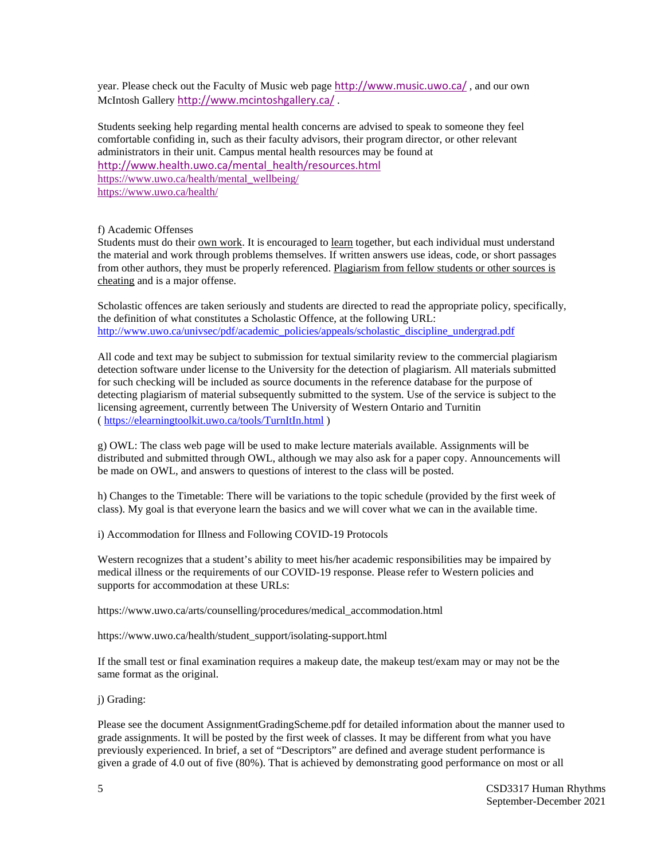year. Please check out the Faculty of Music web page <http://www.music.uwo.ca/> , and our own McIntosh Gallery <http://www.mcintoshgallery.ca/> .

Students seeking help regarding mental health concerns are advised to speak to someone they feel comfortable confiding in, such as their faculty advisors, their program director, or other relevant administrators in their unit. Campus mental health resources may be found at [http://www.health.uwo.ca/mental\\_health/resources.html](http://www.health.uwo.ca/mental_health/resources.html) [https://www.uwo.ca/health/mental\\_wellbeing/](https://www.uwo.ca/health/mental_wellbeing/) <https://www.uwo.ca/health/>

### f) Academic Offenses

Students must do their own work. It is encouraged to learn together, but each individual must understand the material and work through problems themselves. If written answers use ideas, code, or short passages from other authors, they must be properly referenced. Plagiarism from fellow students or other sources is cheating and is a major offense.

Scholastic offences are taken seriously and students are directed to read the appropriate policy, specifically, the definition of what constitutes a Scholastic Offence, at the following URL: [http://www.uwo.ca/univsec/pdf/academic\\_policies/appeals/scholastic\\_discipline\\_undergrad.pdf](http://www.uwo.ca/univsec/pdf/academic_policies/appeals/scholastic_discipline_undergrad.pdf)

All code and text may be subject to submission for textual similarity review to the commercial plagiarism detection software under license to the University for the detection of plagiarism. All materials submitted for such checking will be included as source documents in the reference database for the purpose of detecting plagiarism of material subsequently submitted to the system. Use of the service is subject to the licensing agreement, currently between The University of Western Ontario and Turnitin (<https://elearningtoolkit.uwo.ca/tools/TurnItIn.html> )

g) OWL: The class web page will be used to make lecture materials available. Assignments will be distributed and submitted through OWL, although we may also ask for a paper copy. Announcements will be made on OWL, and answers to questions of interest to the class will be posted.

h) Changes to the Timetable: There will be variations to the topic schedule (provided by the first week of class). My goal is that everyone learn the basics and we will cover what we can in the available time.

i) Accommodation for Illness and Following COVID-19 Protocols

Western recognizes that a student's ability to meet his/her academic responsibilities may be impaired by medical illness or the requirements of our COVID-19 response. Please refer to Western policies and supports for accommodation at these URLs:

https://www.uwo.ca/arts/counselling/procedures/medical\_accommodation.html

https://www.uwo.ca/health/student\_support/isolating-support.html

If the small test or final examination requires a makeup date, the makeup test/exam may or may not be the same format as the original.

j) Grading:

Please see the document AssignmentGradingScheme.pdf for detailed information about the manner used to grade assignments. It will be posted by the first week of classes. It may be different from what you have previously experienced. In brief, a set of "Descriptors" are defined and average student performance is given a grade of 4.0 out of five (80%). That is achieved by demonstrating good performance on most or all